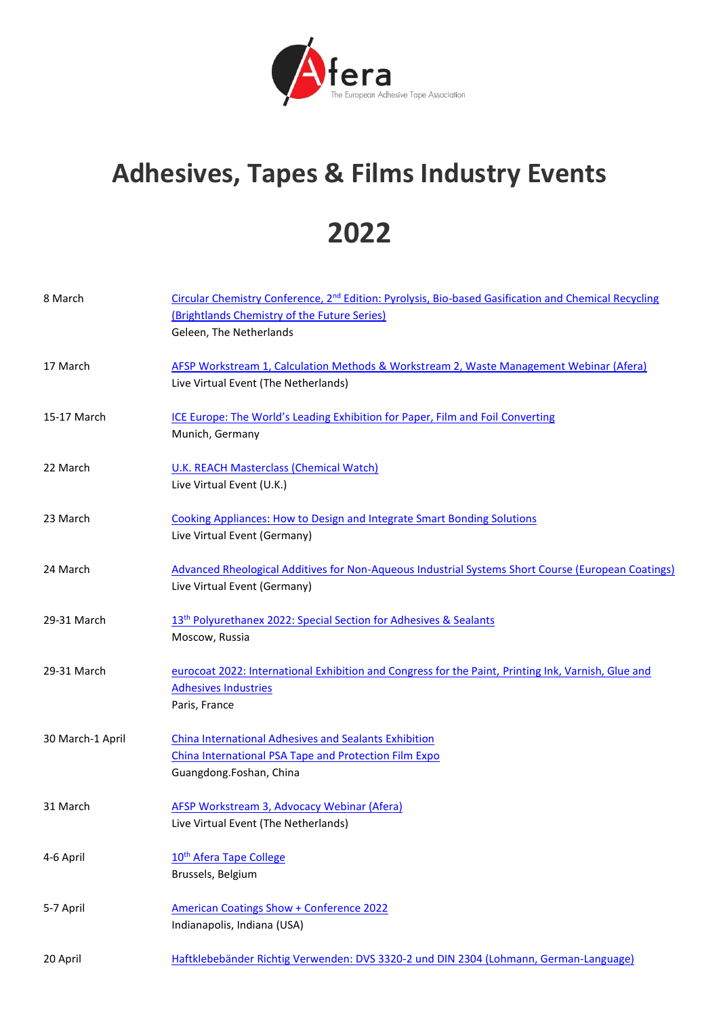

## **Adhesives, Tapes & Films Industry Events**

## **2022**

| 8 March          | Circular Chemistry Conference, 2 <sup>nd</sup> Edition: Pyrolysis, Bio-based Gasification and Chemical Recycling<br>(Brightlands Chemistry of the Future Series)<br>Geleen, The Netherlands |
|------------------|---------------------------------------------------------------------------------------------------------------------------------------------------------------------------------------------|
| 17 March         | AFSP Workstream 1, Calculation Methods & Workstream 2, Waste Management Webinar (Afera)<br>Live Virtual Event (The Netherlands)                                                             |
| 15-17 March      | ICE Europe: The World's Leading Exhibition for Paper, Film and Foil Converting<br>Munich, Germany                                                                                           |
| 22 March         | <b>U.K. REACH Masterclass (Chemical Watch)</b><br>Live Virtual Event (U.K.)                                                                                                                 |
| 23 March         | <b>Cooking Appliances: How to Design and Integrate Smart Bonding Solutions</b><br>Live Virtual Event (Germany)                                                                              |
| 24 March         | Advanced Rheological Additives for Non-Aqueous Industrial Systems Short Course (European Coatings)<br>Live Virtual Event (Germany)                                                          |
| 29-31 March      | 13 <sup>th</sup> Polyurethanex 2022: Special Section for Adhesives & Sealants<br>Moscow, Russia                                                                                             |
| 29-31 March      | eurocoat 2022: International Exhibition and Congress for the Paint, Printing Ink, Varnish, Glue and<br><b>Adhesives Industries</b><br>Paris, France                                         |
| 30 March-1 April | <b>China International Adhesives and Sealants Exhibition</b><br>China International PSA Tape and Protection Film Expo<br>Guangdong.Foshan, China                                            |
| 31 March         | AFSP Workstream 3, Advocacy Webinar (Afera)<br>Live Virtual Event (The Netherlands)                                                                                                         |
| 4-6 April        | 10 <sup>th</sup> Afera Tape College<br>Brussels, Belgium                                                                                                                                    |
| 5-7 April        | <b>American Coatings Show + Conference 2022</b><br>Indianapolis, Indiana (USA)                                                                                                              |
| 20 April         | Haftklebebänder Richtig Verwenden: DVS 3320-2 und DIN 2304 (Lohmann, German-Language)                                                                                                       |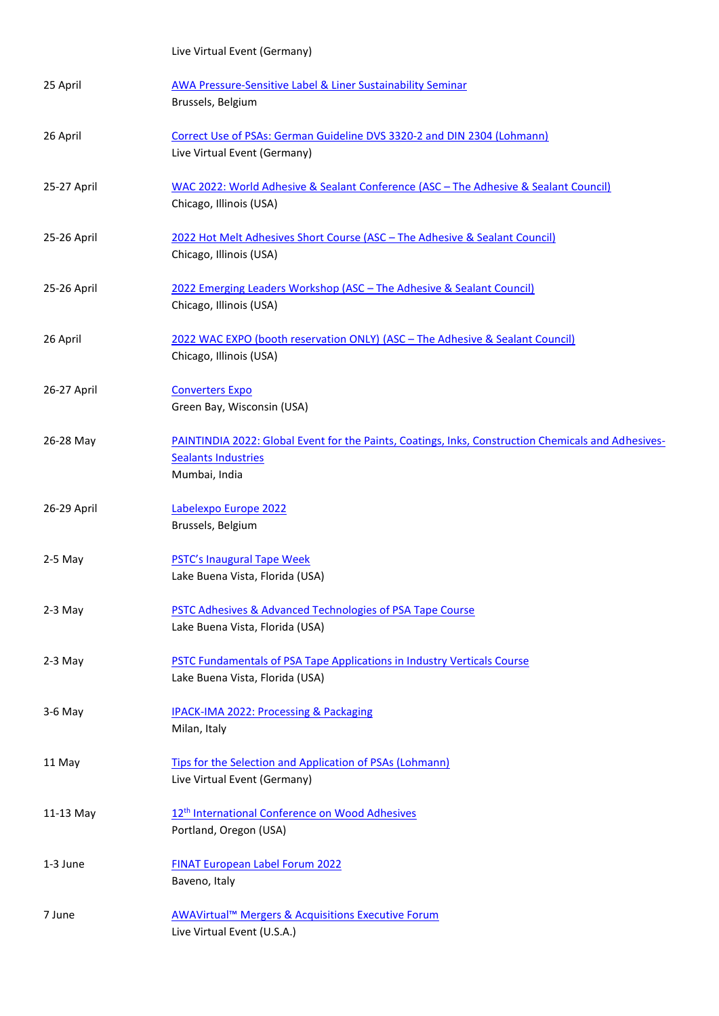Live Virtual Event (Germany)

| 25 April    | <b>AWA Pressure-Sensitive Label &amp; Liner Sustainability Seminar</b><br>Brussels, Belgium                                                        |
|-------------|----------------------------------------------------------------------------------------------------------------------------------------------------|
| 26 April    | Correct Use of PSAs: German Guideline DVS 3320-2 and DIN 2304 (Lohmann)<br>Live Virtual Event (Germany)                                            |
| 25-27 April | WAC 2022: World Adhesive & Sealant Conference (ASC - The Adhesive & Sealant Council)<br>Chicago, Illinois (USA)                                    |
| 25-26 April | 2022 Hot Melt Adhesives Short Course (ASC - The Adhesive & Sealant Council)<br>Chicago, Illinois (USA)                                             |
| 25-26 April | 2022 Emerging Leaders Workshop (ASC - The Adhesive & Sealant Council)<br>Chicago, Illinois (USA)                                                   |
| 26 April    | 2022 WAC EXPO (booth reservation ONLY) (ASC - The Adhesive & Sealant Council)<br>Chicago, Illinois (USA)                                           |
| 26-27 April | <b>Converters Expo</b><br>Green Bay, Wisconsin (USA)                                                                                               |
| 26-28 May   | PAINTINDIA 2022: Global Event for the Paints, Coatings, Inks, Construction Chemicals and Adhesives-<br><b>Sealants Industries</b><br>Mumbai, India |
| 26-29 April | Labelexpo Europe 2022<br>Brussels, Belgium                                                                                                         |
| $2-5$ May   | PSTC's Inaugural Tape Week<br>Lake Buena Vista, Florida (USA)                                                                                      |
| $2-3$ May   | PSTC Adhesives & Advanced Technologies of PSA Tape Course<br>Lake Buena Vista, Florida (USA)                                                       |
| $2-3$ May   | PSTC Fundamentals of PSA Tape Applications in Industry Verticals Course<br>Lake Buena Vista, Florida (USA)                                         |
| 3-6 May     | <b>IPACK-IMA 2022: Processing &amp; Packaging</b><br>Milan, Italy                                                                                  |
| 11 May      | Tips for the Selection and Application of PSAs (Lohmann)<br>Live Virtual Event (Germany)                                                           |
| 11-13 May   | 12 <sup>th</sup> International Conference on Wood Adhesives<br>Portland, Oregon (USA)                                                              |
| 1-3 June    | <b>FINAT European Label Forum 2022</b><br>Baveno, Italy                                                                                            |
| 7 June      | AWAVirtual <sup>™</sup> Mergers & Acquisitions Executive Forum<br>Live Virtual Event (U.S.A.)                                                      |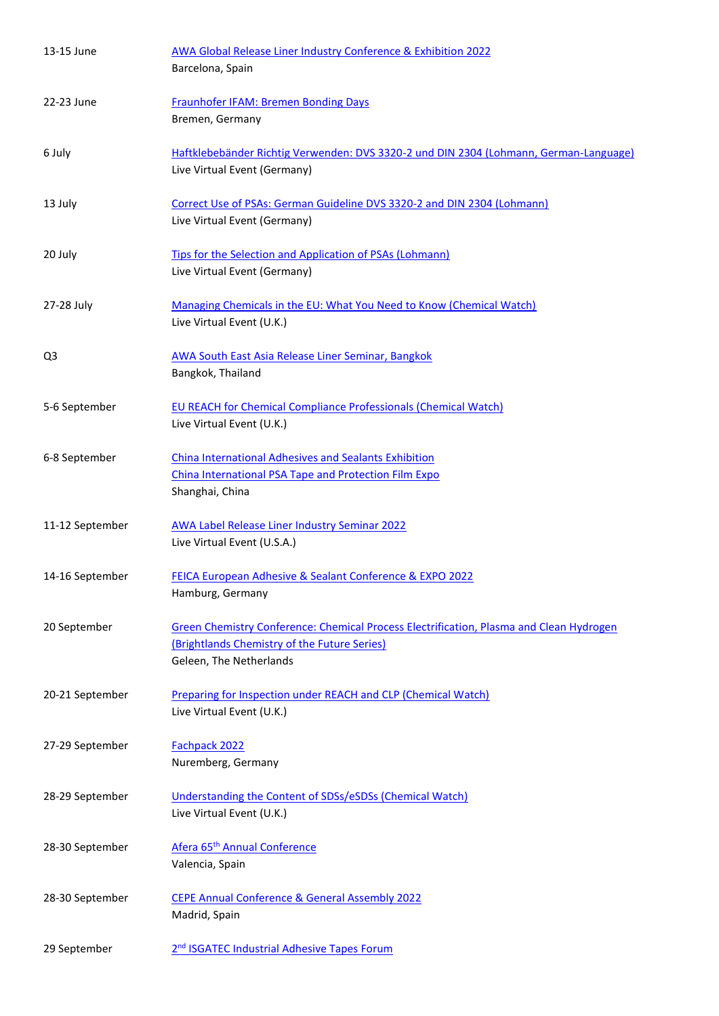| 13-15 June      | AWA Global Release Liner Industry Conference & Exhibition 2022<br>Barcelona, Spain                                                                                 |  |
|-----------------|--------------------------------------------------------------------------------------------------------------------------------------------------------------------|--|
| 22-23 June      | <b>Fraunhofer IFAM: Bremen Bonding Days</b>                                                                                                                        |  |
|                 | Bremen, Germany                                                                                                                                                    |  |
| 6 July          | Haftklebebänder Richtig Verwenden: DVS 3320-2 und DIN 2304 (Lohmann, German-Language)<br>Live Virtual Event (Germany)                                              |  |
| 13 July         | Correct Use of PSAs: German Guideline DVS 3320-2 and DIN 2304 (Lohmann)<br>Live Virtual Event (Germany)                                                            |  |
| 20 July         | Tips for the Selection and Application of PSAs (Lohmann)<br>Live Virtual Event (Germany)                                                                           |  |
| 27-28 July      | Managing Chemicals in the EU: What You Need to Know (Chemical Watch)<br>Live Virtual Event (U.K.)                                                                  |  |
| Q3              | <b>AWA South East Asia Release Liner Seminar, Bangkok</b><br>Bangkok, Thailand                                                                                     |  |
| 5-6 September   | <b>EU REACH for Chemical Compliance Professionals (Chemical Watch)</b><br>Live Virtual Event (U.K.)                                                                |  |
| 6-8 September   | <b>China International Adhesives and Sealants Exhibition</b><br>China International PSA Tape and Protection Film Expo<br>Shanghai, China                           |  |
| 11-12 September | <b>AWA Label Release Liner Industry Seminar 2022</b><br>Live Virtual Event (U.S.A.)                                                                                |  |
| 14-16 September | FEICA European Adhesive & Sealant Conference & EXPO 2022<br>Hamburg, Germany                                                                                       |  |
| 20 September    | Green Chemistry Conference: Chemical Process Electrification, Plasma and Clean Hydrogen<br>(Brightlands Chemistry of the Future Series)<br>Geleen, The Netherlands |  |
| 20-21 September | Preparing for Inspection under REACH and CLP (Chemical Watch)<br>Live Virtual Event (U.K.)                                                                         |  |
| 27-29 September | Fachpack 2022<br>Nuremberg, Germany                                                                                                                                |  |
| 28-29 September | Understanding the Content of SDSs/eSDSs (Chemical Watch)<br>Live Virtual Event (U.K.)                                                                              |  |
| 28-30 September | Afera 65 <sup>th</sup> Annual Conference<br>Valencia, Spain                                                                                                        |  |
| 28-30 September | CEPE Annual Conference & General Assembly 2022<br>Madrid, Spain                                                                                                    |  |
| 29 September    | 2 <sup>nd</sup> ISGATEC Industrial Adhesive Tapes Forum                                                                                                            |  |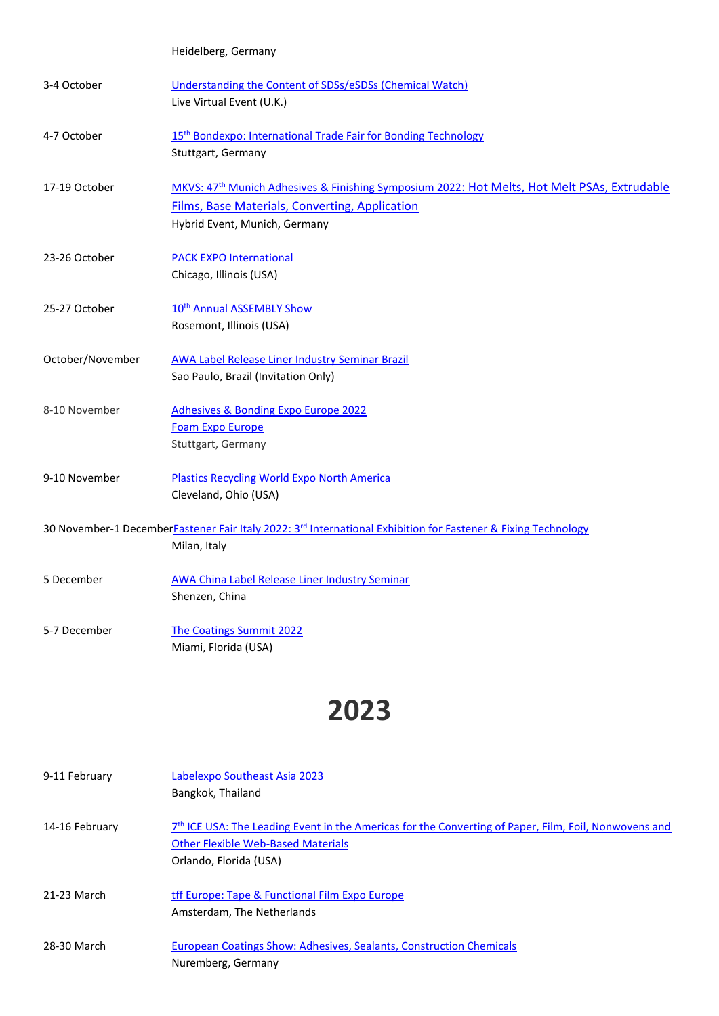|                  | Heidelberg, Germany                                                                                                                                                                                |
|------------------|----------------------------------------------------------------------------------------------------------------------------------------------------------------------------------------------------|
| 3-4 October      | Understanding the Content of SDSs/eSDSs (Chemical Watch)<br>Live Virtual Event (U.K.)                                                                                                              |
| 4-7 October      | 15 <sup>th</sup> Bondexpo: International Trade Fair for Bonding Technology<br>Stuttgart, Germany                                                                                                   |
| 17-19 October    | MKVS: 47 <sup>th</sup> Munich Adhesives & Finishing Symposium 2022: Hot Melts, Hot Melt PSAs, Extrudable<br><b>Films, Base Materials, Converting, Application</b><br>Hybrid Event, Munich, Germany |
| 23-26 October    | <b>PACK EXPO International</b><br>Chicago, Illinois (USA)                                                                                                                                          |
| 25-27 October    | 10 <sup>th</sup> Annual ASSEMBLY Show<br>Rosemont, Illinois (USA)                                                                                                                                  |
| October/November | AWA Label Release Liner Industry Seminar Brazil<br>Sao Paulo, Brazil (Invitation Only)                                                                                                             |
| 8-10 November    | <b>Adhesives &amp; Bonding Expo Europe 2022</b><br><b>Foam Expo Europe</b><br>Stuttgart, Germany                                                                                                   |
| 9-10 November    | <b>Plastics Recycling World Expo North America</b><br>Cleveland, Ohio (USA)                                                                                                                        |
|                  | 30 November-1 DecemberFastener Fair Italy 2022: 3rd International Exhibition for Fastener & Fixing Technology<br>Milan, Italy                                                                      |
| 5 December       | <b>AWA China Label Release Liner Industry Seminar</b><br>Shenzen, China                                                                                                                            |
| 5-7 December     | The Coatings Summit 2022<br>Miami, Florida (USA)                                                                                                                                                   |

## **2023**

| 9-11 February  | Labelexpo Southeast Asia 2023<br>Bangkok, Thailand                                                                                                                                       |
|----------------|------------------------------------------------------------------------------------------------------------------------------------------------------------------------------------------|
| 14-16 February | 7 <sup>th</sup> ICE USA: The Leading Event in the Americas for the Converting of Paper, Film, Foil, Nonwovens and<br><b>Other Flexible Web-Based Materials</b><br>Orlando, Florida (USA) |
| 21-23 March    | tff Europe: Tape & Functional Film Expo Europe<br>Amsterdam, The Netherlands                                                                                                             |
| 28-30 March    | European Coatings Show: Adhesives, Sealants, Construction Chemicals<br>Nuremberg, Germany                                                                                                |